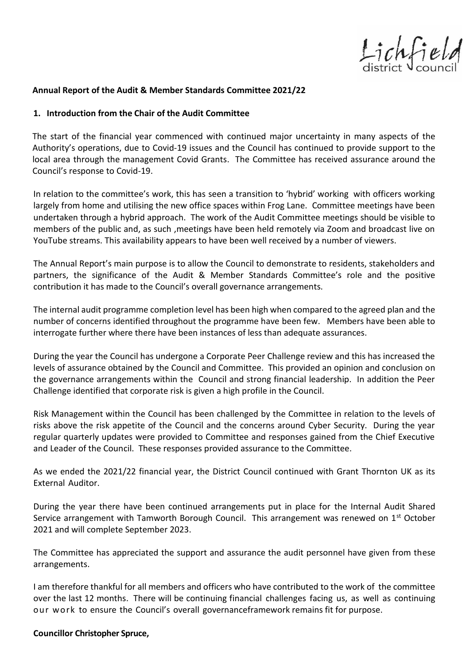Lichfield

#### **Annual Report of the Audit & Member Standards Committee 2021/22**

#### **1. Introduction from the Chair of the Audit Committee**

The start of the financial year commenced with continued major uncertainty in many aspects of the Authority's operations, due to Covid-19 issues and the Council has continued to provide support to the local area through the management Covid Grants. The Committee has received assurance around the Council's response to Covid-19.

In relation to the committee's work, this has seen a transition to 'hybrid' working with officers working largely from home and utilising the new office spaces within Frog Lane. Committee meetings have been undertaken through a hybrid approach. The work of the Audit Committee meetings should be visible to members of the public and, as such ,meetings have been held remotely via Zoom and broadcast live on YouTube streams. This availability appears to have been well received by a number of viewers.

The Annual Report's main purpose is to allow the Council to demonstrate to residents, stakeholders and partners, the significance of the Audit & Member Standards Committee's role and the positive contribution it has made to the Council's overall governance arrangements.

The internal audit programme completion level has been high when compared to the agreed plan and the number of concerns identified throughout the programme have been few. Members have been able to interrogate further where there have been instances of less than adequate assurances.

During the year the Council has undergone a Corporate Peer Challenge review and this has increased the levels of assurance obtained by the Council and Committee. This provided an opinion and conclusion on the governance arrangements within the Council and strong financial leadership. In addition the Peer Challenge identified that corporate risk is given a high profile in the Council.

Risk Management within the Council has been challenged by the Committee in relation to the levels of risks above the risk appetite of the Council and the concerns around Cyber Security. During the year regular quarterly updates were provided to Committee and responses gained from the Chief Executive and Leader of the Council. These responses provided assurance to the Committee.

As we ended the 2021/22 financial year, the District Council continued with Grant Thornton UK as its External Auditor.

During the year there have been continued arrangements put in place for the Internal Audit Shared Service arrangement with Tamworth Borough Council. This arrangement was renewed on 1<sup>st</sup> October 2021 and will complete September 2023.

The Committee has appreciated the support and assurance the audit personnel have given from these arrangements.

I am therefore thankful for all members and officers who have contributed to the work of the committee over the last 12 months. There will be continuing financial challenges facing us, as well as continuing our work to ensure the Council's overall governanceframework remains fit for purpose.

#### **Councillor Christopher Spruce,**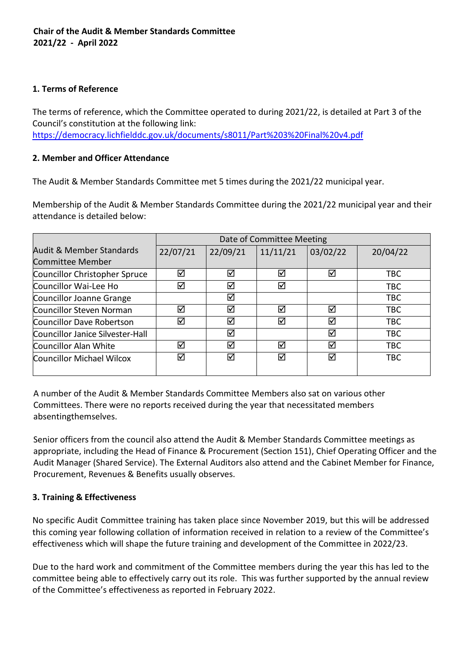### **1. Terms of Reference**

The terms of reference, which the Committee operated to during 2021/22, is detailed at Part 3 of the Council's constitution at the following link: <https://democracy.lichfielddc.gov.uk/documents/s8011/Part%203%20Final%20v4.pdf>

## **2. Member and Officer Attendance**

The Audit & Member Standards Committee met 5 times during the 2021/22 municipal year.

Membership of the Audit & Member Standards Committee during the 2021/22 municipal year and their attendance is detailed below:

|                                  | Date of Committee Meeting |          |          |          |            |  |
|----------------------------------|---------------------------|----------|----------|----------|------------|--|
| Audit & Member Standards         | 22/07/21                  | 22/09/21 | 11/11/21 | 03/02/22 | 20/04/22   |  |
| Committee Member                 |                           |          |          |          |            |  |
| Councillor Christopher Spruce    | ☑                         | ☑        | ☑        | ☑        | <b>TBC</b> |  |
| Councillor Wai-Lee Ho            | ☑                         | ☑        | ☑        |          | <b>TBC</b> |  |
| Councillor Joanne Grange         |                           | ☑        |          |          | <b>TBC</b> |  |
| Councillor Steven Norman         | ☑                         | ☑        | ⊠        | ☑        | <b>TBC</b> |  |
| Councillor Dave Robertson        | ☑                         | ☑        | ☑        | ☑        | <b>TBC</b> |  |
| Councillor Janice Silvester-Hall |                           | ☑        |          | ☑        | <b>TBC</b> |  |
| Councillor Alan White            | ☑                         | ☑        | ☑        | ☑        | <b>TBC</b> |  |
| Councillor Michael Wilcox        | ☑                         | ☑        | ☑        | ☑        | <b>TBC</b> |  |
|                                  |                           |          |          |          |            |  |

A number of the Audit & Member Standards Committee Members also sat on various other Committees. There were no reports received during the year that necessitated members absentingthemselves.

Senior officers from the council also attend the Audit & Member Standards Committee meetings as appropriate, including the Head of Finance & Procurement (Section 151), Chief Operating Officer and the Audit Manager (Shared Service). The External Auditors also attend and the Cabinet Member for Finance, Procurement, Revenues & Benefits usually observes.

## **3. Training & Effectiveness**

No specific Audit Committee training has taken place since November 2019, but this will be addressed this coming year following collation of information received in relation to a review of the Committee's effectiveness which will shape the future training and development of the Committee in 2022/23.

Due to the hard work and commitment of the Committee members during the year this has led to the committee being able to effectively carry out its role. This was further supported by the annual review of the Committee's effectiveness as reported in February 2022.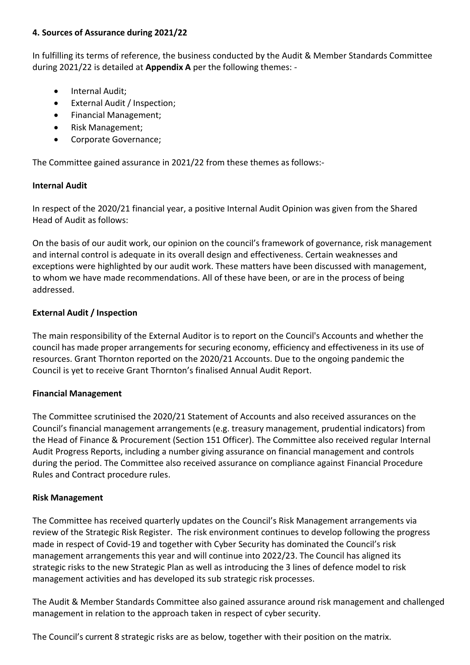#### **4. Sources of Assurance during 2021/22**

In fulfilling its terms of reference, the business conducted by the Audit & Member Standards Committee during 2021/22 is detailed at **Appendix A** per the following themes: -

- Internal Audit;
- External Audit / Inspection;
- Financial Management;
- Risk Management;
- Corporate Governance;

The Committee gained assurance in 2021/22 from these themes as follows:-

#### **Internal Audit**

In respect of the 2020/21 financial year, a positive Internal Audit Opinion was given from the Shared Head of Audit as follows:

On the basis of our audit work, our opinion on the council's framework of governance, risk management and internal control is adequate in its overall design and effectiveness. Certain weaknesses and exceptions were highlighted by our audit work. These matters have been discussed with management, to whom we have made recommendations. All of these have been, or are in the process of being addressed.

## **External Audit / Inspection**

The main responsibility of the External Auditor is to report on the Council's Accounts and whether the council has made proper arrangements for securing economy, efficiency and effectiveness in its use of resources. Grant Thornton reported on the 2020/21 Accounts. Due to the ongoing pandemic the Council is yet to receive Grant Thornton's finalised Annual Audit Report.

#### **Financial Management**

The Committee scrutinised the 2020/21 Statement of Accounts and also received assurances on the Council's financial management arrangements (e.g. treasury management, prudential indicators) from the Head of Finance & Procurement (Section 151 Officer). The Committee also received regular Internal Audit Progress Reports, including a number giving assurance on financial management and controls during the period. The Committee also received assurance on compliance against Financial Procedure Rules and Contract procedure rules.

#### **Risk Management**

The Committee has received quarterly updates on the Council's Risk Management arrangements via review of the Strategic Risk Register. The risk environment continues to develop following the progress made in respect of Covid-19 and together with Cyber Security has dominated the Council's risk management arrangements this year and will continue into 2022/23. The Council has aligned its strategic risks to the new Strategic Plan as well as introducing the 3 lines of defence model to risk management activities and has developed its sub strategic risk processes.

The Audit & Member Standards Committee also gained assurance around risk management and challenged management in relation to the approach taken in respect of cyber security.

The Council's current 8 strategic risks are as below, together with their position on the matrix.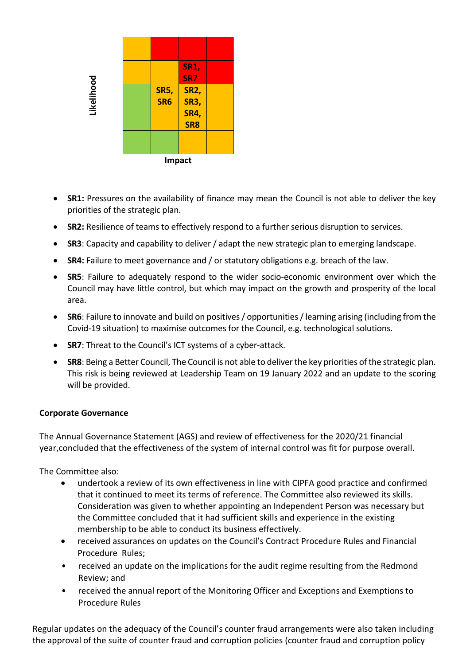

- **SR1:** Pressures on the availability of finance may mean the Council is not able to deliver the key priorities of the strategic plan.
- **SR2:** Resilience of teams to effectively respond to a further serious disruption to services.
- **SR3**: Capacity and capability to deliver / adapt the new strategic plan to emerging landscape.
- **SR4:** Failure to meet governance and / or statutory obligations e.g. breach of the law.
- **SR5**: Failure to adequately respond to the wider socio-economic environment over which the Council may have little control, but which may impact on the growth and prosperity of the local area.
- **SR6**: Failure to innovate and build on positives / opportunities / learning arising (including from the Covid-19 situation) to maximise outcomes for the Council, e.g. technological solutions.
- **SR7**: Threat to the Council's ICT systems of a cyber-attack.
- **SR8**: Being a Better Council, The Council is not able to deliver the key priorities of the strategic plan. This risk is being reviewed at Leadership Team on 19 January 2022 and an update to the scoring will be provided.

#### **Corporate Governance**

The Annual Governance Statement (AGS) and review of effectiveness for the 2020/21 financial year,concluded that the effectiveness of the system of internal control was fit for purpose overall.

The Committee also:

- undertook a review of its own effectiveness in line with CIPFA good practice and confirmed that it continued to meet its terms of reference. The Committee also reviewed its skills. Consideration was given to whether appointing an Independent Person was necessary but the Committee concluded that it had sufficient skills and experience in the existing membership to be able to conduct its business effectively.
- received assurances on updates on the Council's Contract Procedure Rules and Financial Procedure Rules;
- received an update on the implications for the audit regime resulting from the Redmond Review; and
- received the annual report of the Monitoring Officer and Exceptions and Exemptions to Procedure Rules

Regular updates on the adequacy of the Council's counter fraud arrangements were also taken including the approval of the suite of counter fraud and corruption policies (counter fraud and corruption policy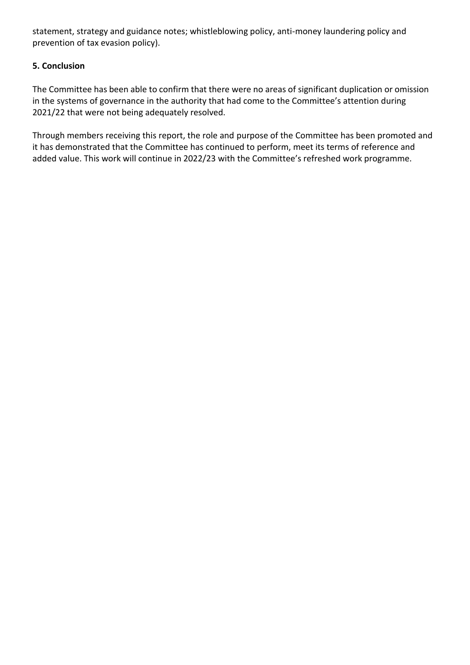statement, strategy and guidance notes; whistleblowing policy, anti-money laundering policy and prevention of tax evasion policy).

## **5. Conclusion**

The Committee has been able to confirm that there were no areas of significant duplication or omission in the systems of governance in the authority that had come to the Committee's attention during 2021/22 that were not being adequately resolved.

Through members receiving this report, the role and purpose of the Committee has been promoted and it has demonstrated that the Committee has continued to perform, meet its terms of reference and added value. This work will continue in 2022/23 with the Committee's refreshed work programme.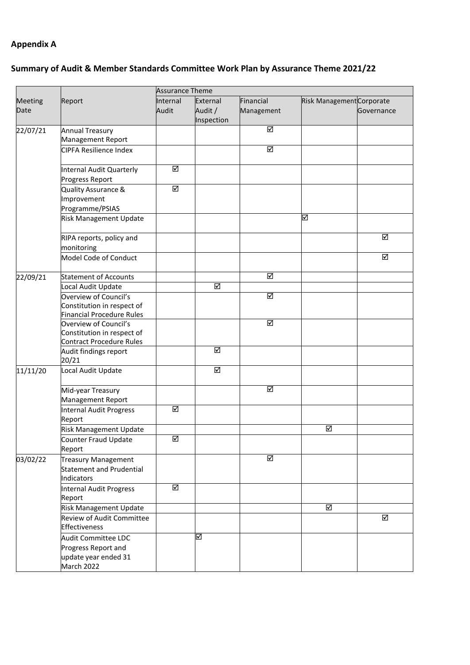# **Appendix A**

# **Summary of Audit & Member Standards Committee Work Plan by Assurance Theme 2021/22**

|                |                                                                                  | <b>Assurance Theme</b>  |                       |                         |                           |            |  |
|----------------|----------------------------------------------------------------------------------|-------------------------|-----------------------|-------------------------|---------------------------|------------|--|
| <b>Meeting</b> | Report                                                                           | Internal                | External              | Financial               | Risk Management Corporate |            |  |
| Date           |                                                                                  | Audit                   | Audit /<br>Inspection | Management              |                           | Governance |  |
| 22/07/21       | <b>Annual Treasury</b><br>Management Report                                      |                         |                       | ☑                       |                           |            |  |
|                | <b>CIPFA Resilience Index</b>                                                    |                         |                       | $\overline{\mathbf{S}}$ |                           |            |  |
|                | Internal Audit Quarterly<br>Progress Report                                      | ☑                       |                       |                         |                           |            |  |
|                | Quality Assurance &<br>Improvement<br>Programme/PSIAS                            | $\overline{\mathbf{S}}$ |                       |                         |                           |            |  |
|                | Risk Management Update                                                           |                         |                       |                         | ☑                         |            |  |
|                | RIPA reports, policy and<br>monitoring                                           |                         |                       |                         |                           | ☑          |  |
|                | Model Code of Conduct                                                            |                         |                       |                         |                           | ☑          |  |
| 22/09/21       | <b>Statement of Accounts</b>                                                     |                         |                       | ☑                       |                           |            |  |
|                | Local Audit Update                                                               |                         | ☑                     |                         |                           |            |  |
|                | Overview of Council's<br>Constitution in respect of<br>Financial Procedure Rules |                         |                       | ☑                       |                           |            |  |
|                | Overview of Council's<br>Constitution in respect of<br>Contract Procedure Rules  |                         |                       | ☑                       |                           |            |  |
|                | Audit findings report<br>20/21                                                   |                         | ☑                     |                         |                           |            |  |
| 11/11/20       | Local Audit Update                                                               |                         | ☑                     |                         |                           |            |  |
|                | Mid-year Treasury<br>Management Report                                           |                         |                       | $\overline{\mathbf{S}}$ |                           |            |  |
|                | <b>Internal Audit Progress</b><br>Report                                         | ☑                       |                       |                         |                           |            |  |
|                | Risk Management Update                                                           |                         |                       |                         | ☑                         |            |  |
|                | Counter Fraud Update<br>Report                                                   | ☑                       |                       |                         |                           |            |  |
| 03/02/22       | <b>Treasury Management</b><br>Statement and Prudential<br>Indicators             |                         |                       | ☑                       |                           |            |  |
|                | Internal Audit Progress<br>Report                                                | ☑                       |                       |                         |                           |            |  |
|                | Risk Management Update                                                           |                         |                       |                         | ☑                         |            |  |
|                | Review of Audit Committee<br>Effectiveness                                       |                         |                       |                         |                           | ☑          |  |
|                | Audit Committee LDC<br>Progress Report and<br>update year ended 31<br>March 2022 |                         | ⊠                     |                         |                           |            |  |